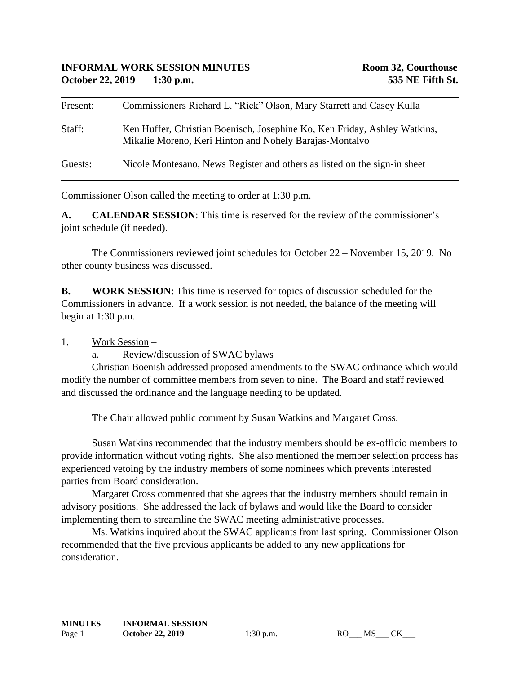| Present: | Commissioners Richard L. "Rick" Olson, Mary Starrett and Casey Kulla                                                                 |
|----------|--------------------------------------------------------------------------------------------------------------------------------------|
| Staff:   | Ken Huffer, Christian Boenisch, Josephine Ko, Ken Friday, Ashley Watkins,<br>Mikalie Moreno, Keri Hinton and Nohely Barajas-Montalvo |
| Guests:  | Nicole Montesano, News Register and others as listed on the sign-in sheet                                                            |

Commissioner Olson called the meeting to order at 1:30 p.m.

**A. CALENDAR SESSION**: This time is reserved for the review of the commissioner's joint schedule (if needed).

The Commissioners reviewed joint schedules for October 22 – November 15, 2019. No other county business was discussed.

**B. WORK SESSION**: This time is reserved for topics of discussion scheduled for the Commissioners in advance. If a work session is not needed, the balance of the meeting will begin at 1:30 p.m.

## 1. Work Session –

a. Review/discussion of SWAC bylaws

Christian Boenish addressed proposed amendments to the SWAC ordinance which would modify the number of committee members from seven to nine. The Board and staff reviewed and discussed the ordinance and the language needing to be updated.

The Chair allowed public comment by Susan Watkins and Margaret Cross.

Susan Watkins recommended that the industry members should be ex-officio members to provide information without voting rights. She also mentioned the member selection process has experienced vetoing by the industry members of some nominees which prevents interested parties from Board consideration.

Margaret Cross commented that she agrees that the industry members should remain in advisory positions. She addressed the lack of bylaws and would like the Board to consider implementing them to streamline the SWAC meeting administrative processes.

Ms. Watkins inquired about the SWAC applicants from last spring. Commissioner Olson recommended that the five previous applicants be added to any new applications for consideration.